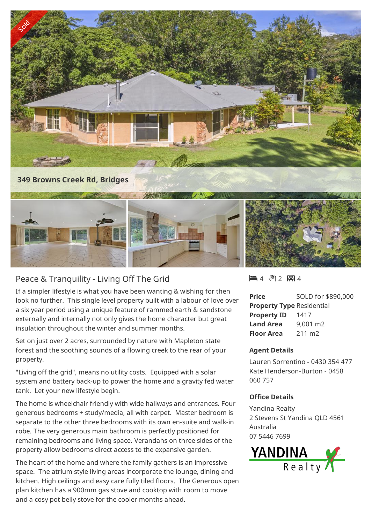

## Peace & Tranquility - Living Off The Grid

If a simpler lifestyle is what you have been wanting & wishing for then look no further. This single level property built with a labour of love over a six year period using a unique feature of rammed earth & sandstone externally and internally not only gives the home character but great insulation throughout the winter and summer months.

Set on just over 2 acres, surrounded by nature with Mapleton state forest and the soothing sounds of a flowing creek to the rear of your property.

"Living off the grid", means no utility costs. Equipped with a solar system and battery back-up to power the home and a gravity fed water tank. Let your new lifestyle begin.

The home is wheelchair friendly with wide hallways and entrances. Four generous bedrooms + study/media, all with carpet. Master bedroom is separate to the other three bedrooms with its own en-suite and walk-in robe. The very generous main bathroom is perfectly positioned for remaining bedrooms and living space. Verandahs on three sides of the property allow bedrooms direct access to the expansive garden.

The heart of the home and where the family gathers is an impressive space. The atrium style living areas incorporate the lounge, dining and kitchen. High ceilings and easy care fully tiled floors. The Generous open plan kitchen has a 900mm gas stove and cooktop with room to move and a cosy pot belly stove for the cooler months ahead.

 $-4$   $2$   $-1$ 

**Price** SOLD for \$890,000 **Property Type** Residential **Property ID** 1417 **Land Area** 9,001 m2 **Floor Area** 211 m2

## **Agent Details**

Lauren Sorrentino - 0430 354 477 Kate Henderson-Burton - 0458 060 757

## **Office Details**

Yandina Realty 2 Stevens St Yandina QLD 4561 Australia 07 5446 7699